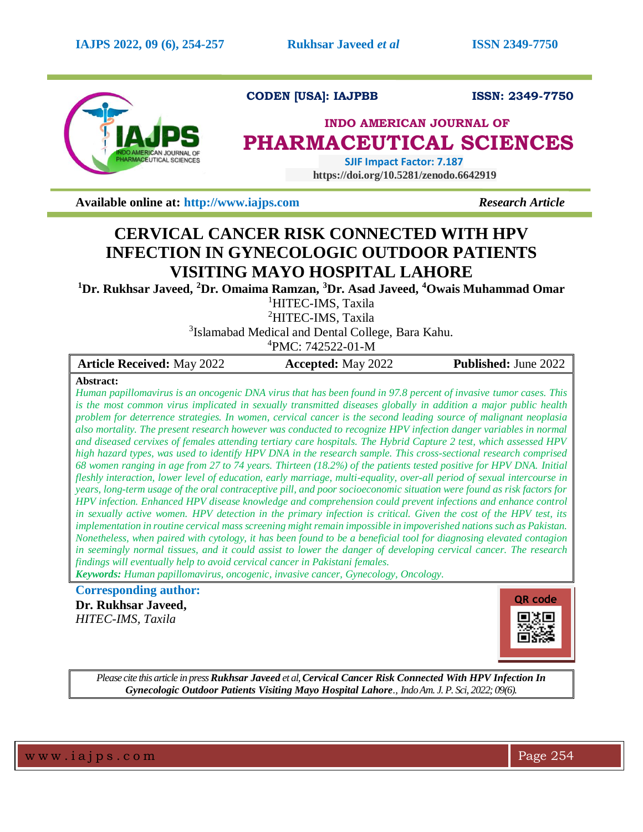

**CODEN [USA]: IAJPBB ISSN: 2349-7750**

# **INDO AMERICAN JOURNAL OF PHARMACEUTICAL SCIENCES**

 **SJIF Impact Factor: 7.187 https://doi.org/10.5281/zenodo.6642919** 

**Available online at:** [http://www.iajps.com](http://www.iajps.com/) *Research Article* 

# **CERVICAL CANCER RISK CONNECTED WITH HPV INFECTION IN GYNECOLOGIC OUTDOOR PATIENTS VISITING MAYO HOSPITAL LAHORE**

**<sup>1</sup>Dr. Rukhsar Javeed, <sup>2</sup>Dr. Omaima Ramzan, <sup>3</sup>Dr. Asad Javeed, <sup>4</sup>Owais Muhammad Omar**

<sup>1</sup>HITEC-IMS, Taxila

<sup>2</sup>HITEC-IMS, Taxila

<sup>3</sup>Islamabad Medical and Dental College, Bara Kahu.

 ${}^{4}$ PMC: 742522-01-M

| <b>Article Received: May 2022</b> | <b>Accepted:</b> May 2022 | <b>Published:</b> June 2022 |
|-----------------------------------|---------------------------|-----------------------------|
| $Ah + \cdots$                     |                           |                             |

## **Abstract:**

*Human papillomavirus is an oncogenic DNA virus that has been found in 97.8 percent of invasive tumor cases. This is the most common virus implicated in sexually transmitted diseases globally in addition a major public health problem for deterrence strategies. In women, cervical cancer is the second leading source of malignant neoplasia also mortality. The present research however was conducted to recognize HPV infection danger variables in normal and diseased cervixes of females attending tertiary care hospitals. The Hybrid Capture 2 test, which assessed HPV high hazard types, was used to identify HPV DNA in the research sample. This cross-sectional research comprised 68 women ranging in age from 27 to 74 years. Thirteen (18.2%) of the patients tested positive for HPV DNA. Initial fleshly interaction, lower level of education, early marriage, multi-equality, over-all period of sexual intercourse in years, long-term usage of the oral contraceptive pill, and poor socioeconomic situation were found as risk factors for HPV infection. Enhanced HPV disease knowledge and comprehension could prevent infections and enhance control in sexually active women. HPV detection in the primary infection is critical. Given the cost of the HPV test, its implementation in routine cervical mass screening might remain impossible in impoverished nations such as Pakistan. Nonetheless, when paired with cytology, it has been found to be a beneficial tool for diagnosing elevated contagion in seemingly normal tissues, and it could assist to lower the danger of developing cervical cancer. The research findings will eventually help to avoid cervical cancer in Pakistani females.*

*Keywords: Human papillomavirus, oncogenic, invasive cancer, Gynecology, Oncology.*

# **Corresponding author: Dr. Rukhsar Javeed,** *HITEC-IMS, Taxila*

**QR code**打一

*Please cite this article in press Rukhsar Javeed et al, Cervical Cancer Risk Connected With HPV Infection In Gynecologic Outdoor Patients Visiting Mayo Hospital Lahore., Indo Am. J. P. Sci, 2022; 09(6).*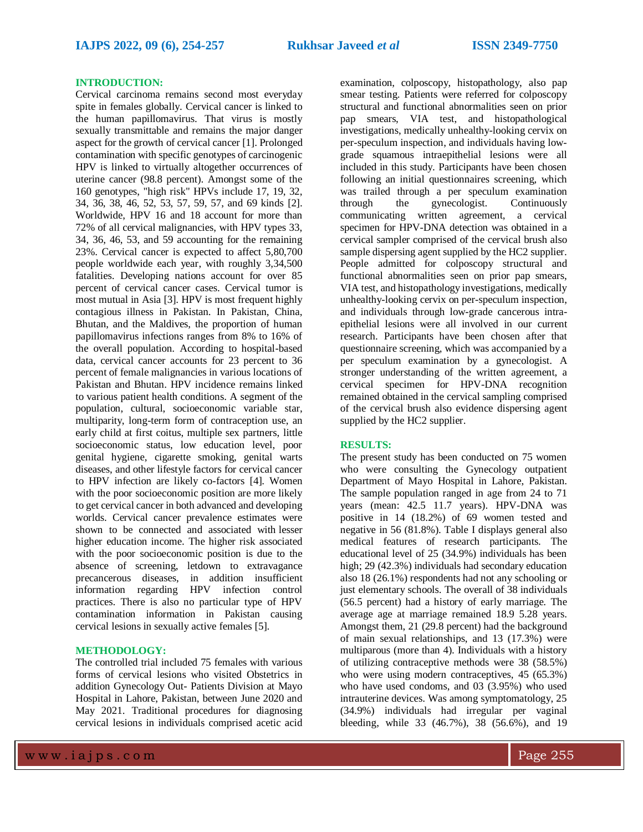### **INTRODUCTION:**

Cervical carcinoma remains second most everyday spite in females globally. Cervical cancer is linked to the human papillomavirus. That virus is mostly sexually transmittable and remains the major danger aspect for the growth of cervical cancer [1]. Prolonged contamination with specific genotypes of carcinogenic HPV is linked to virtually altogether occurrences of uterine cancer (98.8 percent). Amongst some of the 160 genotypes, "high risk" HPVs include 17, 19, 32, 34, 36, 38, 46, 52, 53, 57, 59, 57, and 69 kinds [2]. Worldwide, HPV 16 and 18 account for more than 72% of all cervical malignancies, with HPV types 33, 34, 36, 46, 53, and 59 accounting for the remaining 23%. Cervical cancer is expected to affect 5,80,700 people worldwide each year, with roughly 3,34,500 fatalities. Developing nations account for over 85 percent of cervical cancer cases. Cervical tumor is most mutual in Asia [3]. HPV is most frequent highly contagious illness in Pakistan. In Pakistan, China, Bhutan, and the Maldives, the proportion of human papillomavirus infections ranges from 8% to 16% of the overall population. According to hospital-based data, cervical cancer accounts for 23 percent to 36 percent of female malignancies in various locations of Pakistan and Bhutan. HPV incidence remains linked to various patient health conditions. A segment of the population, cultural, socioeconomic variable star, multiparity, long-term form of contraception use, an early child at first coitus, multiple sex partners, little socioeconomic status, low education level, poor genital hygiene, cigarette smoking, genital warts diseases, and other lifestyle factors for cervical cancer to HPV infection are likely co-factors [4]. Women with the poor socioeconomic position are more likely to get cervical cancer in both advanced and developing worlds. Cervical cancer prevalence estimates were shown to be connected and associated with lesser higher education income. The higher risk associated with the poor socioeconomic position is due to the absence of screening, letdown to extravagance precancerous diseases, in addition insufficient information regarding HPV infection control practices. There is also no particular type of HPV contamination information in Pakistan causing cervical lesions in sexually active females [5].

#### **METHODOLOGY:**

The controlled trial included 75 females with various forms of cervical lesions who visited Obstetrics in addition Gynecology Out- Patients Division at Mayo Hospital in Lahore, Pakistan, between June 2020 and May 2021. Traditional procedures for diagnosing cervical lesions in individuals comprised acetic acid

examination, colposcopy, histopathology, also pap smear testing. Patients were referred for colposcopy structural and functional abnormalities seen on prior pap smears, VIA test, and histopathological investigations, medically unhealthy-looking cervix on per-speculum inspection, and individuals having lowgrade squamous intraepithelial lesions were all included in this study. Participants have been chosen following an initial questionnaires screening, which was trailed through a per speculum examination through the gynecologist. Continuously communicating written agreement, a cervical specimen for HPV-DNA detection was obtained in a cervical sampler comprised of the cervical brush also sample dispersing agent supplied by the HC2 supplier. People admitted for colposcopy structural and functional abnormalities seen on prior pap smears, VIA test, and histopathology investigations, medically unhealthy-looking cervix on per-speculum inspection, and individuals through low-grade cancerous intraepithelial lesions were all involved in our current research. Participants have been chosen after that questionnaire screening, which was accompanied by a per speculum examination by a gynecologist. A stronger understanding of the written agreement, a cervical specimen for HPV-DNA recognition remained obtained in the cervical sampling comprised of the cervical brush also evidence dispersing agent supplied by the HC2 supplier.

## **RESULTS:**

The present study has been conducted on 75 women who were consulting the Gynecology outpatient Department of Mayo Hospital in Lahore, Pakistan. The sample population ranged in age from 24 to 71 years (mean: 42.5 11.7 years). HPV-DNA was positive in 14 (18.2%) of 69 women tested and negative in 56 (81.8%). Table I displays general also medical features of research participants. The educational level of 25 (34.9%) individuals has been high; 29 (42.3%) individuals had secondary education also 18 (26.1%) respondents had not any schooling or just elementary schools. The overall of 38 individuals (56.5 percent) had a history of early marriage. The average age at marriage remained 18.9 5.28 years. Amongst them, 21 (29.8 percent) had the background of main sexual relationships, and 13 (17.3%) were multiparous (more than 4). Individuals with a history of utilizing contraceptive methods were 38 (58.5%) who were using modern contraceptives, 45 (65.3%) who have used condoms, and 03 (3.95%) who used intrauterine devices. Was among symptomatology, 25 (34.9%) individuals had irregular per vaginal bleeding, while 33 (46.7%), 38 (56.6%), and 19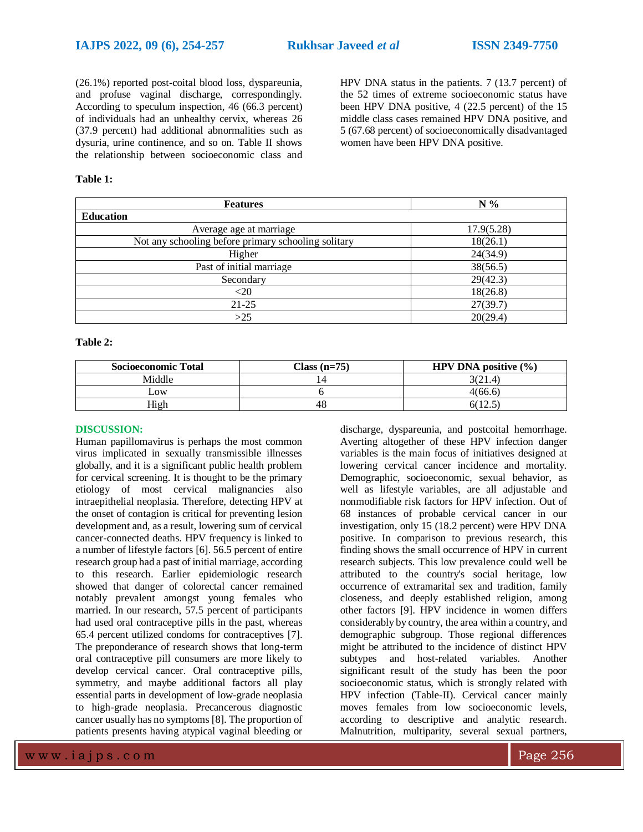(26.1%) reported post-coital blood loss, dyspareunia, and profuse vaginal discharge, correspondingly. According to speculum inspection, 46 (66.3 percent) of individuals had an unhealthy cervix, whereas 26 (37.9 percent) had additional abnormalities such as dysuria, urine continence, and so on. Table II shows the relationship between socioeconomic class and

## **Table 1:**

HPV DNA status in the patients. 7 (13.7 percent) of the 52 times of extreme socioeconomic status have been HPV DNA positive, 4 (22.5 percent) of the 15 middle class cases remained HPV DNA positive, and 5 (67.68 percent) of socioeconomically disadvantaged women have been HPV DNA positive.

| <b>Features</b>                                     | $N\%$      |
|-----------------------------------------------------|------------|
| <b>Education</b>                                    |            |
| Average age at marriage                             | 17.9(5.28) |
| Not any schooling before primary schooling solitary | 18(26.1)   |
| Higher                                              | 24(34.9)   |
| Past of initial marriage                            | 38(56.5)   |
| Secondary                                           | 29(42.3)   |
| $<$ 20                                              | 18(26.8)   |
| $21 - 25$                                           | 27(39.7)   |
| >25                                                 | 20(29.4)   |

#### **Table 2:**

| <b>Socioeconomic Total</b> | $Class (n=75)$ | <b>HPV DNA</b> positive $(\% )$ |
|----------------------------|----------------|---------------------------------|
| Middle                     |                | 3(21.4)                         |
| $L$ OW                     |                | 4(66.6)                         |
| High                       | 48             | 6(12.5)                         |

#### **DISCUSSION:**

Human papillomavirus is perhaps the most common virus implicated in sexually transmissible illnesses globally, and it is a significant public health problem for cervical screening. It is thought to be the primary etiology of most cervical malignancies also intraepithelial neoplasia. Therefore, detecting HPV at the onset of contagion is critical for preventing lesion development and, as a result, lowering sum of cervical cancer-connected deaths. HPV frequency is linked to a number of lifestyle factors [6]. 56.5 percent of entire research group had a past of initial marriage, according to this research. Earlier epidemiologic research showed that danger of colorectal cancer remained notably prevalent amongst young females who married. In our research, 57.5 percent of participants had used oral contraceptive pills in the past, whereas 65.4 percent utilized condoms for contraceptives [7]. The preponderance of research shows that long-term oral contraceptive pill consumers are more likely to develop cervical cancer. Oral contraceptive pills, symmetry, and maybe additional factors all play essential parts in development of low-grade neoplasia to high-grade neoplasia. Precancerous diagnostic cancer usually has no symptoms [8]. The proportion of patients presents having atypical vaginal bleeding or

discharge, dyspareunia, and postcoital hemorrhage. Averting altogether of these HPV infection danger variables is the main focus of initiatives designed at lowering cervical cancer incidence and mortality. Demographic, socioeconomic, sexual behavior, as well as lifestyle variables, are all adjustable and nonmodifiable risk factors for HPV infection. Out of 68 instances of probable cervical cancer in our investigation, only 15 (18.2 percent) were HPV DNA positive. In comparison to previous research, this finding shows the small occurrence of HPV in current research subjects. This low prevalence could well be attributed to the country's social heritage, low occurrence of extramarital sex and tradition, family closeness, and deeply established religion, among other factors [9]. HPV incidence in women differs considerably by country, the area within a country, and demographic subgroup. Those regional differences might be attributed to the incidence of distinct HPV subtypes and host-related variables. Another significant result of the study has been the poor socioeconomic status, which is strongly related with HPV infection (Table-II). Cervical cancer mainly moves females from low socioeconomic levels, according to descriptive and analytic research. Malnutrition, multiparity, several sexual partners,